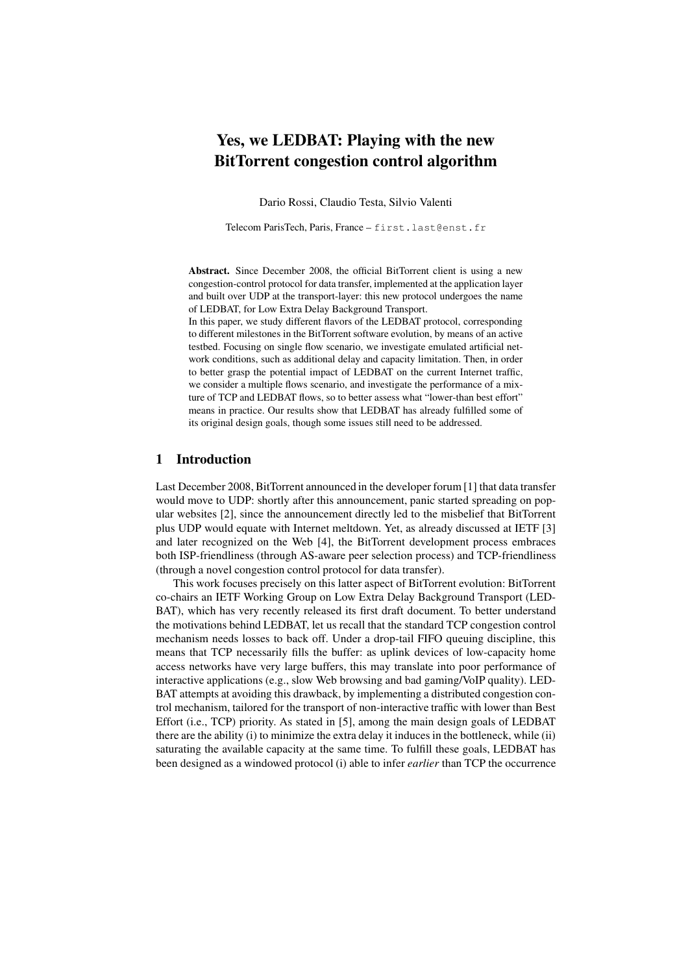# **Yes, we LEDBAT: Playing with the new BitTorrent congestion control algorithm**

Dario Rossi, Claudio Testa, Silvio Valenti

Telecom ParisTech, Paris, France – first.last@enst.fr

**Abstract.** Since December 2008, the official BitTorrent client is using a new congestion-control protocol for data transfer, implemented at the application layer and built over UDP at the transport-layer: this new protocol undergoes the name of LEDBAT, for Low Extra Delay Background Transport.

In this paper, we study different flavors of the LEDBAT protocol, corresponding to different milestones in the BitTorrent software evolution, by means of an active testbed. Focusing on single flow scenario, we investigate emulated artificial network conditions, such as additional delay and capacity limitation. Then, in order to better grasp the potential impact of LEDBAT on the current Internet traffic, we consider a multiple flows scenario, and investigate the performance of a mixture of TCP and LEDBAT flows, so to better assess what "lower-than best effort" means in practice. Our results show that LEDBAT has already fulfilled some of its original design goals, though some issues still need to be addressed.

#### **1 Introduction**

Last December 2008, BitTorrent announced in the developer forum [1] that data transfer would move to UDP: shortly after this announcement, panic started spreading on popular websites [2], since the announcement directly led to the misbelief that BitTorrent plus UDP would equate with Internet meltdown. Yet, as already discussed at IETF [3] and later recognized on the Web [4], the BitTorrent development process embraces both ISP-friendliness (through AS-aware peer selection process) and TCP-friendliness (through a novel congestion control protocol for data transfer).

This work focuses precisely on this latter aspect of BitTorrent evolution: BitTorrent co-chairs an IETF Working Group on Low Extra Delay Background Transport (LED-BAT), which has very recently released its first draft document. To better understand the motivations behind LEDBAT, let us recall that the standard TCP congestion control mechanism needs losses to back off. Under a drop-tail FIFO queuing discipline, this means that TCP necessarily fills the buffer: as uplink devices of low-capacity home access networks have very large buffers, this may translate into poor performance of interactive applications (e.g., slow Web browsing and bad gaming/VoIP quality). LED-BAT attempts at avoiding this drawback, by implementing a distributed congestion control mechanism, tailored for the transport of non-interactive traffic with lower than Best Effort (i.e., TCP) priority. As stated in [5], among the main design goals of LEDBAT there are the ability (i) to minimize the extra delay it induces in the bottleneck, while (ii) saturating the available capacity at the same time. To fulfill these goals, LEDBAT has been designed as a windowed protocol (i) able to infer *earlier* than TCP the occurrence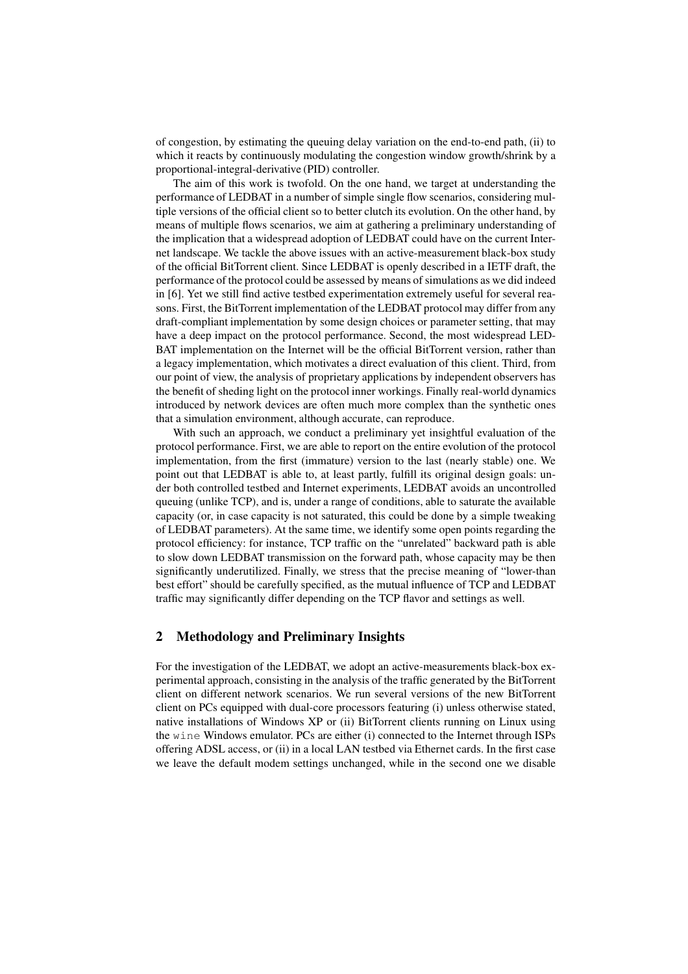of congestion, by estimating the queuing delay variation on the end-to-end path, (ii) to which it reacts by continuously modulating the congestion window growth/shrink by a proportional-integral-derivative (PID) controller.

The aim of this work is twofold. On the one hand, we target at understanding the performance of LEDBAT in a number of simple single flow scenarios, considering multiple versions of the official client so to better clutch its evolution. On the other hand, by means of multiple flows scenarios, we aim at gathering a preliminary understanding of the implication that a widespread adoption of LEDBAT could have on the current Internet landscape. We tackle the above issues with an active-measurement black-box study of the official BitTorrent client. Since LEDBAT is openly described in a IETF draft, the performance of the protocol could be assessed by means of simulations as we did indeed in [6]. Yet we still find active testbed experimentation extremely useful for several reasons. First, the BitTorrent implementation of the LEDBAT protocol may differ from any draft-compliant implementation by some design choices or parameter setting, that may have a deep impact on the protocol performance. Second, the most widespread LED-BAT implementation on the Internet will be the official BitTorrent version, rather than a legacy implementation, which motivates a direct evaluation of this client. Third, from our point of view, the analysis of proprietary applications by independent observers has the benefit of sheding light on the protocol inner workings. Finally real-world dynamics introduced by network devices are often much more complex than the synthetic ones that a simulation environment, although accurate, can reproduce.

With such an approach, we conduct a preliminary yet insightful evaluation of the protocol performance. First, we are able to report on the entire evolution of the protocol implementation, from the first (immature) version to the last (nearly stable) one. We point out that LEDBAT is able to, at least partly, fulfill its original design goals: under both controlled testbed and Internet experiments, LEDBAT avoids an uncontrolled queuing (unlike TCP), and is, under a range of conditions, able to saturate the available capacity (or, in case capacity is not saturated, this could be done by a simple tweaking of LEDBAT parameters). At the same time, we identify some open points regarding the protocol efficiency: for instance, TCP traffic on the "unrelated" backward path is able to slow down LEDBAT transmission on the forward path, whose capacity may be then significantly underutilized. Finally, we stress that the precise meaning of "lower-than best effort" should be carefully specified, as the mutual influence of TCP and LEDBAT traffic may significantly differ depending on the TCP flavor and settings as well.

# **2 Methodology and Preliminary Insights**

For the investigation of the LEDBAT, we adopt an active-measurements black-box experimental approach, consisting in the analysis of the traffic generated by the BitTorrent client on different network scenarios. We run several versions of the new BitTorrent client on PCs equipped with dual-core processors featuring (i) unless otherwise stated, native installations of Windows XP or (ii) BitTorrent clients running on Linux using the wine Windows emulator. PCs are either (i) connected to the Internet through ISPs offering ADSL access, or (ii) in a local LAN testbed via Ethernet cards. In the first case we leave the default modem settings unchanged, while in the second one we disable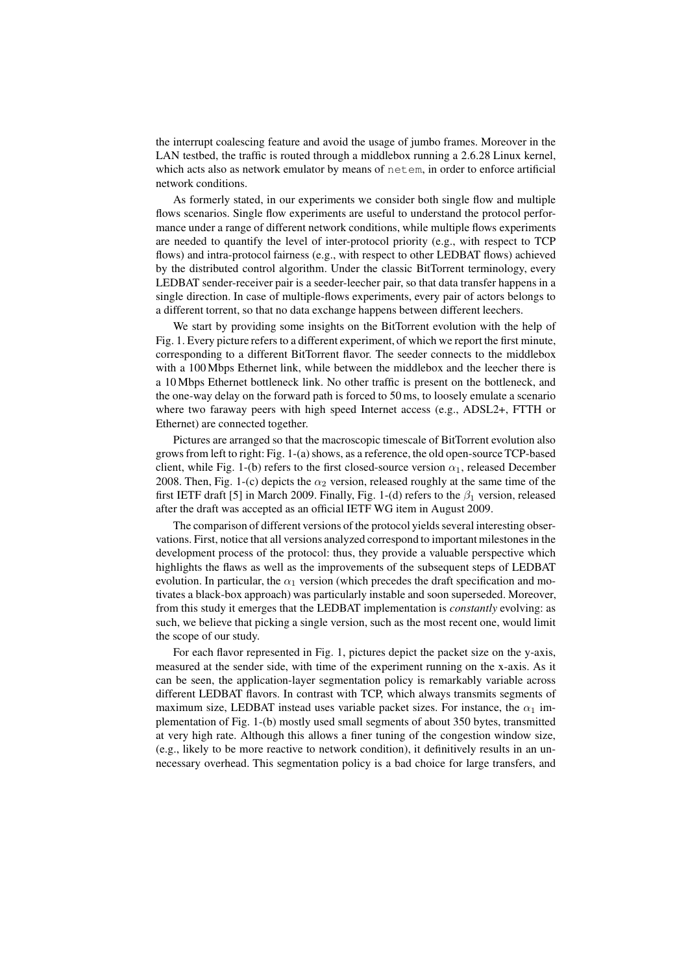the interrupt coalescing feature and avoid the usage of jumbo frames. Moreover in the LAN testbed, the traffic is routed through a middlebox running a 2.6.28 Linux kernel, which acts also as network emulator by means of netem, in order to enforce artificial network conditions.

As formerly stated, in our experiments we consider both single flow and multiple flows scenarios. Single flow experiments are useful to understand the protocol performance under a range of different network conditions, while multiple flows experiments are needed to quantify the level of inter-protocol priority (e.g., with respect to TCP flows) and intra-protocol fairness (e.g., with respect to other LEDBAT flows) achieved by the distributed control algorithm. Under the classic BitTorrent terminology, every LEDBAT sender-receiver pair is a seeder-leecher pair, so that data transfer happens in a single direction. In case of multiple-flows experiments, every pair of actors belongs to a different torrent, so that no data exchange happens between different leechers.

We start by providing some insights on the BitTorrent evolution with the help of Fig. 1. Every picture refers to a different experiment, of which we report the first minute, corresponding to a different BitTorrent flavor. The seeder connects to the middlebox with a 100 Mbps Ethernet link, while between the middlebox and the leecher there is a 10 Mbps Ethernet bottleneck link. No other traffic is present on the bottleneck, and the one-way delay on the forward path is forced to 50 ms, to loosely emulate a scenario where two faraway peers with high speed Internet access (e.g., ADSL2+, FTTH or Ethernet) are connected together.

Pictures are arranged so that the macroscopic timescale of BitTorrent evolution also grows from left to right: Fig. 1-(a) shows, as a reference, the old open-source TCP-based client, while Fig. 1-(b) refers to the first closed-source version  $\alpha_1$ , released December 2008. Then, Fig. 1-(c) depicts the  $\alpha_2$  version, released roughly at the same time of the first IETF draft [5] in March 2009. Finally, Fig. 1-(d) refers to the  $\beta_1$  version, released after the draft was accepted as an official IETF WG item in August 2009.

The comparison of different versions of the protocol yields several interesting observations. First, notice that all versions analyzed correspond to important milestones in the development process of the protocol: thus, they provide a valuable perspective which highlights the flaws as well as the improvements of the subsequent steps of LEDBAT evolution. In particular, the  $\alpha_1$  version (which precedes the draft specification and motivates a black-box approach) was particularly instable and soon superseded. Moreover, from this study it emerges that the LEDBAT implementation is *constantly* evolving: as such, we believe that picking a single version, such as the most recent one, would limit the scope of our study.

For each flavor represented in Fig. 1, pictures depict the packet size on the y-axis, measured at the sender side, with time of the experiment running on the x-axis. As it can be seen, the application-layer segmentation policy is remarkably variable across different LEDBAT flavors. In contrast with TCP, which always transmits segments of maximum size, LEDBAT instead uses variable packet sizes. For instance, the  $\alpha_1$  implementation of Fig. 1-(b) mostly used small segments of about 350 bytes, transmitted at very high rate. Although this allows a finer tuning of the congestion window size, (e.g., likely to be more reactive to network condition), it definitively results in an unnecessary overhead. This segmentation policy is a bad choice for large transfers, and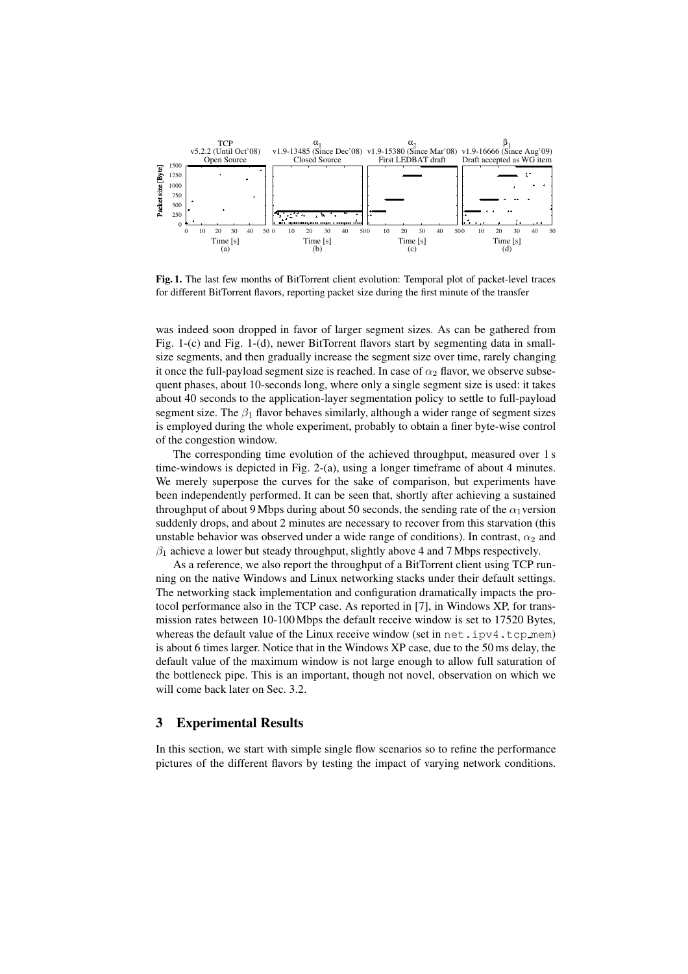

**Fig. 1.** The last few months of BitTorrent client evolution: Temporal plot of packet-level traces for different BitTorrent flavors, reporting packet size during the first minute of the transfer

was indeed soon dropped in favor of larger segment sizes. As can be gathered from Fig. 1-(c) and Fig. 1-(d), newer BitTorrent flavors start by segmenting data in smallsize segments, and then gradually increase the segment size over time, rarely changing it once the full-payload segment size is reached. In case of  $\alpha_2$  flavor, we observe subsequent phases, about 10-seconds long, where only a single segment size is used: it takes about 40 seconds to the application-layer segmentation policy to settle to full-payload segment size. The  $\beta_1$  flavor behaves similarly, although a wider range of segment sizes is employed during the whole experiment, probably to obtain a finer byte-wise control of the congestion window.

The corresponding time evolution of the achieved throughput, measured over 1 s time-windows is depicted in Fig. 2-(a), using a longer timeframe of about 4 minutes. We merely superpose the curves for the sake of comparison, but experiments have been independently performed. It can be seen that, shortly after achieving a sustained throughput of about 9 Mbps during about 50 seconds, the sending rate of the  $\alpha_1$  version suddenly drops, and about 2 minutes are necessary to recover from this starvation (this unstable behavior was observed under a wide range of conditions). In contrast,  $\alpha_2$  and  $\beta_1$  achieve a lower but steady throughput, slightly above 4 and 7 Mbps respectively.

As a reference, we also report the throughput of a BitTorrent client using TCP running on the native Windows and Linux networking stacks under their default settings. The networking stack implementation and configuration dramatically impacts the protocol performance also in the TCP case. As reported in [7], in Windows XP, for transmission rates between 10-100 Mbps the default receive window is set to 17520 Bytes, whereas the default value of the Linux receive window (set in net.ipv4.tcp\_mem) is about 6 times larger. Notice that in the Windows XP case, due to the 50 ms delay, the default value of the maximum window is not large enough to allow full saturation of the bottleneck pipe. This is an important, though not novel, observation on which we will come back later on Sec. 3.2.

#### **3 Experimental Results**

In this section, we start with simple single flow scenarios so to refine the performance pictures of the different flavors by testing the impact of varying network conditions.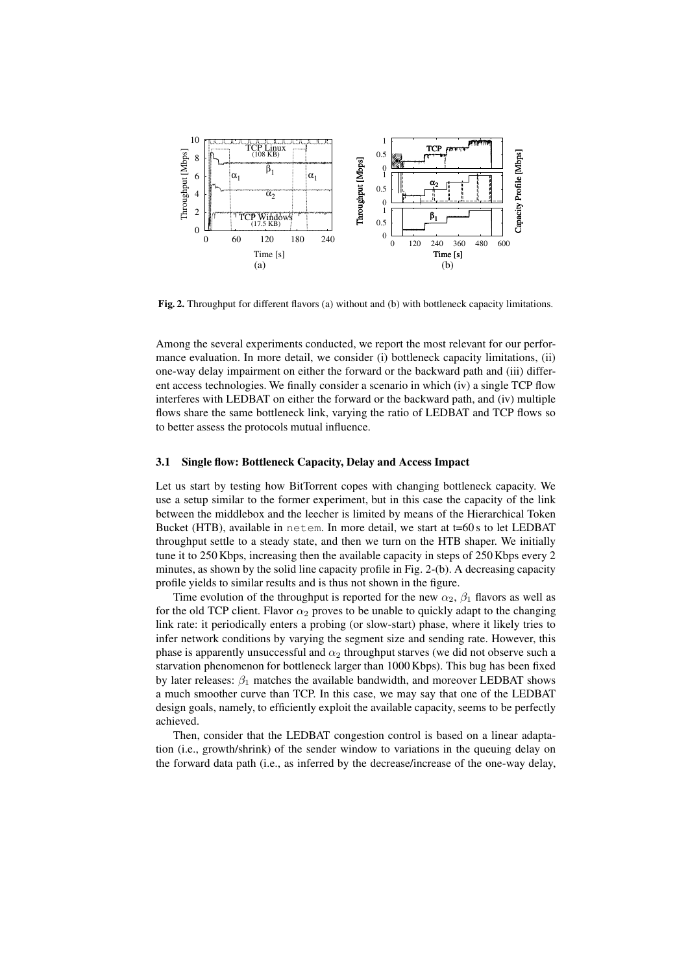

**Fig. 2.** Throughput for different flavors (a) without and (b) with bottleneck capacity limitations.

Among the several experiments conducted, we report the most relevant for our performance evaluation. In more detail, we consider (i) bottleneck capacity limitations, (ii) one-way delay impairment on either the forward or the backward path and (iii) different access technologies. We finally consider a scenario in which (iv) a single TCP flow interferes with LEDBAT on either the forward or the backward path, and (iv) multiple flows share the same bottleneck link, varying the ratio of LEDBAT and TCP flows so to better assess the protocols mutual influence.

#### **3.1 Single flow: Bottleneck Capacity, Delay and Access Impact**

Let us start by testing how BitTorrent copes with changing bottleneck capacity. We use a setup similar to the former experiment, but in this case the capacity of the link between the middlebox and the leecher is limited by means of the Hierarchical Token Bucket (HTB), available in netem. In more detail, we start at  $t=60$  s to let LEDBAT throughput settle to a steady state, and then we turn on the HTB shaper. We initially tune it to 250 Kbps, increasing then the available capacity in steps of 250 Kbps every 2 minutes, as shown by the solid line capacity profile in Fig. 2-(b). A decreasing capacity profile yields to similar results and is thus not shown in the figure.

Time evolution of the throughput is reported for the new  $\alpha_2$ ,  $\beta_1$  flavors as well as for the old TCP client. Flavor  $\alpha_2$  proves to be unable to quickly adapt to the changing link rate: it periodically enters a probing (or slow-start) phase, where it likely tries to infer network conditions by varying the segment size and sending rate. However, this phase is apparently unsuccessful and  $\alpha_2$  throughput starves (we did not observe such a starvation phenomenon for bottleneck larger than 1000 Kbps). This bug has been fixed by later releases:  $\beta_1$  matches the available bandwidth, and moreover LEDBAT shows a much smoother curve than TCP. In this case, we may say that one of the LEDBAT design goals, namely, to efficiently exploit the available capacity, seems to be perfectly achieved.

Then, consider that the LEDBAT congestion control is based on a linear adaptation (i.e., growth/shrink) of the sender window to variations in the queuing delay on the forward data path (i.e., as inferred by the decrease/increase of the one-way delay,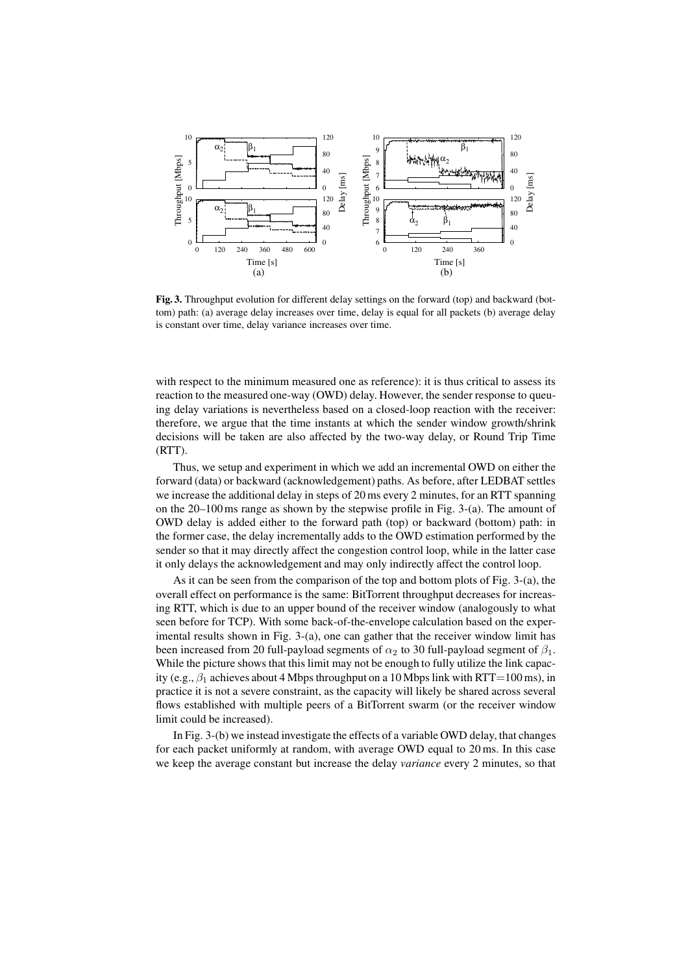

**Fig. 3.** Throughput evolution for different delay settings on the forward (top) and backward (bottom) path: (a) average delay increases over time, delay is equal for all packets (b) average delay is constant over time, delay variance increases over time.

with respect to the minimum measured one as reference): it is thus critical to assess its reaction to the measured one-way (OWD) delay. However, the sender response to queuing delay variations is nevertheless based on a closed-loop reaction with the receiver: therefore, we argue that the time instants at which the sender window growth/shrink decisions will be taken are also affected by the two-way delay, or Round Trip Time (RTT).

Thus, we setup and experiment in which we add an incremental OWD on either the forward (data) or backward (acknowledgement) paths. As before, after LEDBAT settles we increase the additional delay in steps of 20 ms every 2 minutes, for an RTT spanning on the 20–100 ms range as shown by the stepwise profile in Fig. 3-(a). The amount of OWD delay is added either to the forward path (top) or backward (bottom) path: in the former case, the delay incrementally adds to the OWD estimation performed by the sender so that it may directly affect the congestion control loop, while in the latter case it only delays the acknowledgement and may only indirectly affect the control loop.

As it can be seen from the comparison of the top and bottom plots of Fig. 3-(a), the overall effect on performance is the same: BitTorrent throughput decreases for increasing RTT, which is due to an upper bound of the receiver window (analogously to what seen before for TCP). With some back-of-the-envelope calculation based on the experimental results shown in Fig. 3-(a), one can gather that the receiver window limit has been increased from 20 full-payload segments of  $\alpha_2$  to 30 full-payload segment of  $\beta_1$ . While the picture shows that this limit may not be enough to fully utilize the link capacity (e.g.,  $\beta_1$  achieves about 4 Mbps throughput on a 10 Mbps link with RTT=100 ms), in practice it is not a severe constraint, as the capacity will likely be shared across several flows established with multiple peers of a BitTorrent swarm (or the receiver window limit could be increased).

In Fig. 3-(b) we instead investigate the effects of a variable OWD delay, that changes for each packet uniformly at random, with average OWD equal to 20 ms. In this case we keep the average constant but increase the delay *variance* every 2 minutes, so that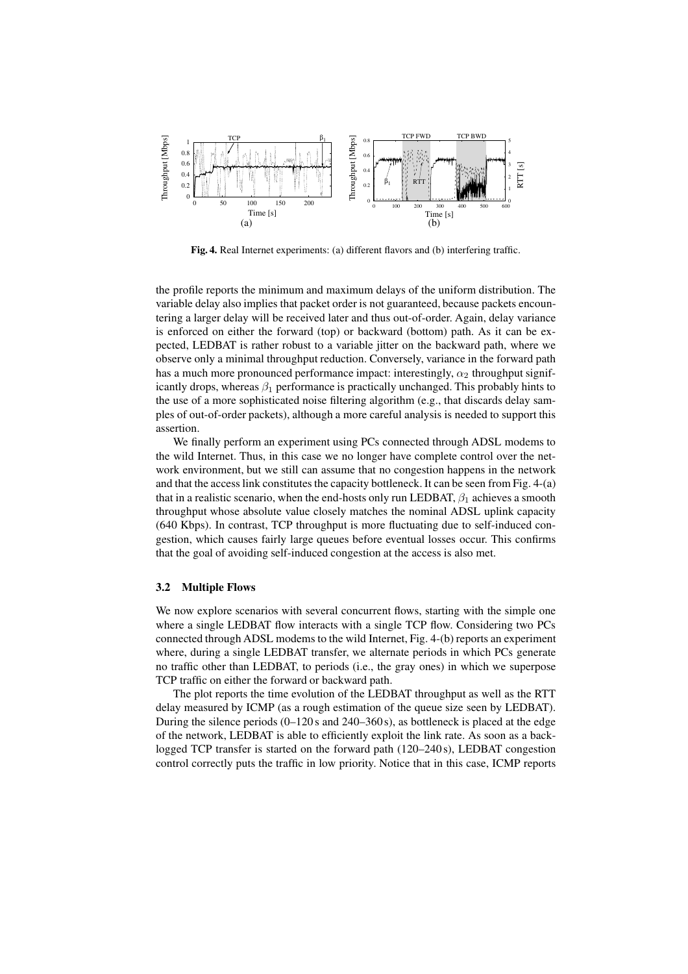

**Fig. 4.** Real Internet experiments: (a) different flavors and (b) interfering traffic.

the profile reports the minimum and maximum delays of the uniform distribution. The variable delay also implies that packet order is not guaranteed, because packets encountering a larger delay will be received later and thus out-of-order. Again, delay variance is enforced on either the forward (top) or backward (bottom) path. As it can be expected, LEDBAT is rather robust to a variable jitter on the backward path, where we observe only a minimal throughput reduction. Conversely, variance in the forward path has a much more pronounced performance impact: interestingly,  $\alpha_2$  throughput significantly drops, whereas  $\beta_1$  performance is practically unchanged. This probably hints to the use of a more sophisticated noise filtering algorithm (e.g., that discards delay samples of out-of-order packets), although a more careful analysis is needed to support this assertion.

We finally perform an experiment using PCs connected through ADSL modems to the wild Internet. Thus, in this case we no longer have complete control over the network environment, but we still can assume that no congestion happens in the network and that the access link constitutes the capacity bottleneck. It can be seen from Fig. 4-(a) that in a realistic scenario, when the end-hosts only run LEDBAT,  $\beta_1$  achieves a smooth throughput whose absolute value closely matches the nominal ADSL uplink capacity (640 Kbps). In contrast, TCP throughput is more fluctuating due to self-induced congestion, which causes fairly large queues before eventual losses occur. This confirms that the goal of avoiding self-induced congestion at the access is also met.

#### **3.2 Multiple Flows**

We now explore scenarios with several concurrent flows, starting with the simple one where a single LEDBAT flow interacts with a single TCP flow. Considering two PCs connected through ADSL modems to the wild Internet, Fig. 4-(b) reports an experiment where, during a single LEDBAT transfer, we alternate periods in which PCs generate no traffic other than LEDBAT, to periods (i.e., the gray ones) in which we superpose TCP traffic on either the forward or backward path.

The plot reports the time evolution of the LEDBAT throughput as well as the RTT delay measured by ICMP (as a rough estimation of the queue size seen by LEDBAT). During the silence periods (0–120 s and 240–360 s), as bottleneck is placed at the edge of the network, LEDBAT is able to efficiently exploit the link rate. As soon as a backlogged TCP transfer is started on the forward path (120–240 s), LEDBAT congestion control correctly puts the traffic in low priority. Notice that in this case, ICMP reports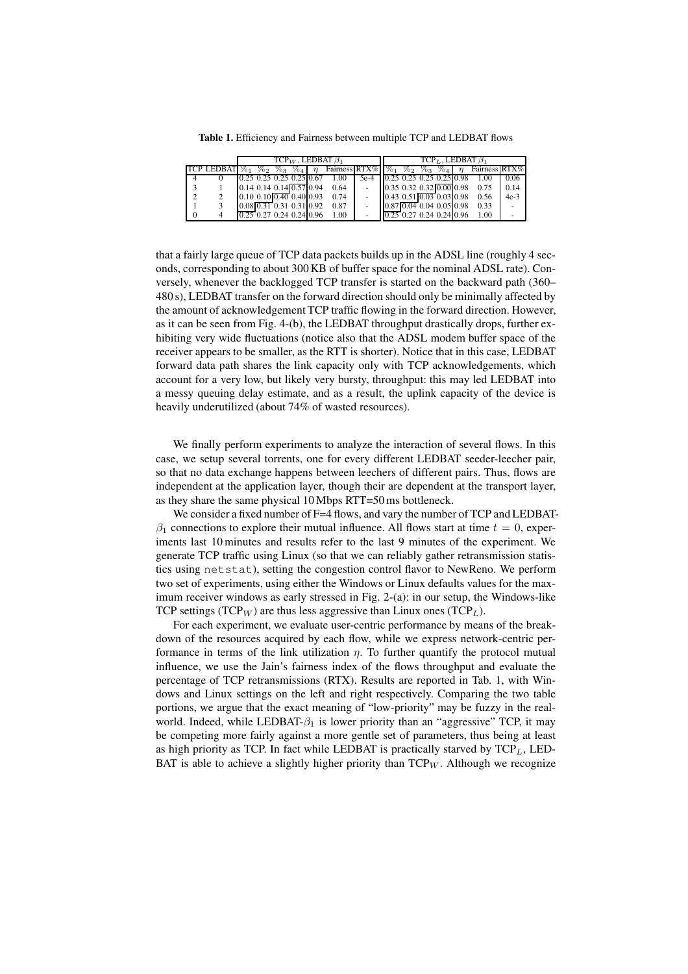**Table 1.** Efficiency and Fairness between multiple TCP and LEDBAT flows

|                                                                                                                                                                                                                     | $TCP_W$ , LEDBAT $\beta_1$ |  |                                |  |  |                                           |  |                                       | $TCP_L$ , LEDBAT $\beta_1$ |  |  |  |                                                            |        |  |
|---------------------------------------------------------------------------------------------------------------------------------------------------------------------------------------------------------------------|----------------------------|--|--------------------------------|--|--|-------------------------------------------|--|---------------------------------------|----------------------------|--|--|--|------------------------------------------------------------|--------|--|
| <b>TCP LEDBAT</b> $\%$ <sup>1</sup> $\%$ <sub>2</sub> $\%$ <sub>3</sub> $\%$ <sub>4</sub> $\eta$ Fairness RTX $\%$ $\%$ <sub>1</sub> $\%$ <sub>2</sub> $\%$ <sub>3</sub> $\%$ <sub>4</sub> $\eta$ Fairness RTX $\%$ |                            |  |                                |  |  |                                           |  |                                       |                            |  |  |  |                                                            |        |  |
|                                                                                                                                                                                                                     |                            |  |                                |  |  | $0.25$ 0.25 0.25 0.25 0.67 1.00           |  |                                       |                            |  |  |  | 5e-4 0.25 0.25 0.25 0.25 0.98 1.00                         | 0.06   |  |
|                                                                                                                                                                                                                     |                            |  | $0.14$ 0.14 0.14 0.57 0.94     |  |  | 0.64                                      |  |                                       |                            |  |  |  | $\big  0.35 \; 0.32 \; 0.32 \; 0.00 \; 0.98 \; 0.75 \big $ | 0.14   |  |
|                                                                                                                                                                                                                     |                            |  | $0.10\ 0.10\ 0.40\ 0.40\ 0.93$ |  |  | 0.74                                      |  | $10.43$ 0.51 0.03 0.03 0.98           |                            |  |  |  | 0.56                                                       | $4e-3$ |  |
|                                                                                                                                                                                                                     |                            |  |                                |  |  | $0.08$ $0.31$ $0.31$ $0.31$ $0.92$ $0.87$ |  | $10.87\overline{0.04}$ 0.04 0.05 0.98 |                            |  |  |  | 0.33                                                       |        |  |
|                                                                                                                                                                                                                     |                            |  | $0.25$ 0.27 0.24 0.24 0.96     |  |  | 1.00                                      |  | $0.25$ 0.27 0.24 0.24 0.96            |                            |  |  |  | 1.00                                                       |        |  |

that a fairly large queue of TCP data packets builds up in the ADSL line (roughly 4 seconds, corresponding to about 300 KB of buffer space for the nominal ADSL rate). Conversely, whenever the backlogged TCP transfer is started on the backward path (360– 480 s), LEDBAT transfer on the forward direction should only be minimally affected by the amount of acknowledgement TCP traffic flowing in the forward direction. However, as it can be seen from Fig. 4-(b), the LEDBAT throughput drastically drops, further exhibiting very wide fluctuations (notice also that the ADSL modem buffer space of the receiver appears to be smaller, as the RTT is shorter). Notice that in this case, LEDBAT forward data path shares the link capacity only with TCP acknowledgements, which account for a very low, but likely very bursty, throughput: this may led LEDBAT into a messy queuing delay estimate, and as a result, the uplink capacity of the device is heavily underutilized (about 74% of wasted resources).

We finally perform experiments to analyze the interaction of several flows. In this case, we setup several torrents, one for every different LEDBAT seeder-leecher pair, so that no data exchange happens between leechers of different pairs. Thus, flows are independent at the application layer, though their are dependent at the transport layer, as they share the same physical 10 Mbps RTT=50 ms bottleneck.

We consider a fixed number of F=4 flows, and vary the number of TCP and LEDBAT- $\beta_1$  connections to explore their mutual influence. All flows start at time  $t = 0$ , experiments last 10 minutes and results refer to the last 9 minutes of the experiment. We generate TCP traffic using Linux (so that we can reliably gather retransmission statistics using netstat), setting the congestion control flavor to NewReno. We perform two set of experiments, using either the Windows or Linux defaults values for the maximum receiver windows as early stressed in Fig. 2-(a): in our setup, the Windows-like TCP settings (TCP<sub>W</sub>) are thus less aggressive than Linux ones (TCP<sub>L</sub>).

For each experiment, we evaluate user-centric performance by means of the breakdown of the resources acquired by each flow, while we express network-centric performance in terms of the link utilization  $\eta$ . To further quantify the protocol mutual influence, we use the Jain's fairness index of the flows throughput and evaluate the percentage of TCP retransmissions (RTX). Results are reported in Tab. 1, with Windows and Linux settings on the left and right respectively. Comparing the two table portions, we argue that the exact meaning of "low-priority" may be fuzzy in the realworld. Indeed, while LEDBAT- $\beta_1$  is lower priority than an "aggressive" TCP, it may be competing more fairly against a more gentle set of parameters, thus being at least as high priority as TCP. In fact while LEDBAT is practically starved by  $TCP<sub>L</sub>$ , LED-BAT is able to achieve a slightly higher priority than  $TCP_W$ . Although we recognize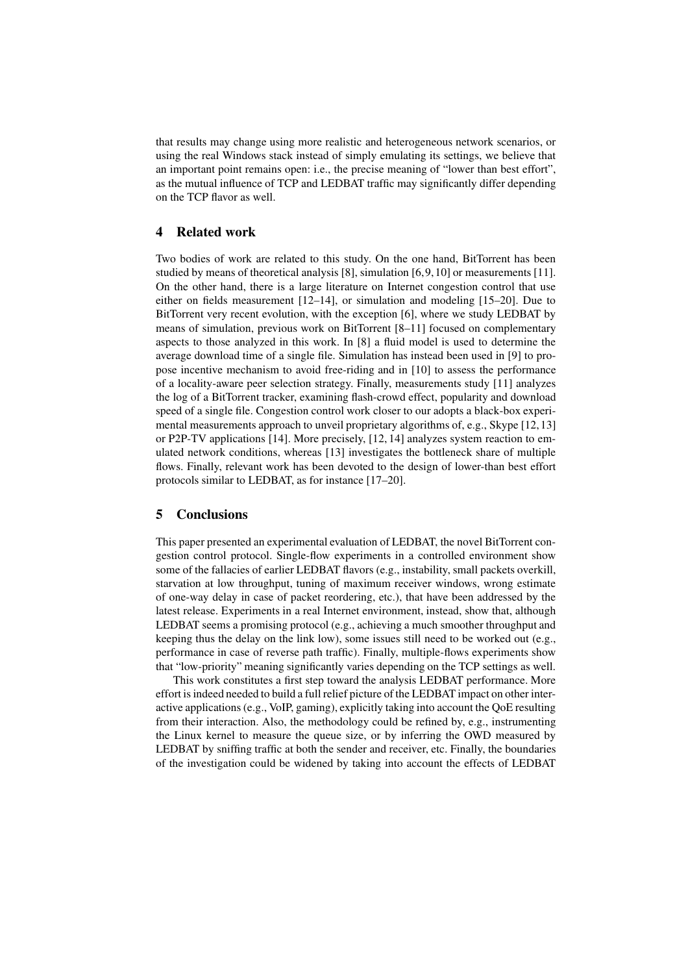that results may change using more realistic and heterogeneous network scenarios, or using the real Windows stack instead of simply emulating its settings, we believe that an important point remains open: i.e., the precise meaning of "lower than best effort", as the mutual influence of TCP and LEDBAT traffic may significantly differ depending on the TCP flavor as well.

## **4 Related work**

Two bodies of work are related to this study. On the one hand, BitTorrent has been studied by means of theoretical analysis [8], simulation [6,9,10] or measurements [11]. On the other hand, there is a large literature on Internet congestion control that use either on fields measurement [12–14], or simulation and modeling [15–20]. Due to BitTorrent very recent evolution, with the exception [6], where we study LEDBAT by means of simulation, previous work on BitTorrent [8–11] focused on complementary aspects to those analyzed in this work. In [8] a fluid model is used to determine the average download time of a single file. Simulation has instead been used in [9] to propose incentive mechanism to avoid free-riding and in [10] to assess the performance of a locality-aware peer selection strategy. Finally, measurements study [11] analyzes the log of a BitTorrent tracker, examining flash-crowd effect, popularity and download speed of a single file. Congestion control work closer to our adopts a black-box experimental measurements approach to unveil proprietary algorithms of, e.g., Skype [12,13] or P2P-TV applications [14]. More precisely, [12, 14] analyzes system reaction to emulated network conditions, whereas [13] investigates the bottleneck share of multiple flows. Finally, relevant work has been devoted to the design of lower-than best effort protocols similar to LEDBAT, as for instance [17–20].

#### **5 Conclusions**

This paper presented an experimental evaluation of LEDBAT, the novel BitTorrent congestion control protocol. Single-flow experiments in a controlled environment show some of the fallacies of earlier LEDBAT flavors (e.g., instability, small packets overkill, starvation at low throughput, tuning of maximum receiver windows, wrong estimate of one-way delay in case of packet reordering, etc.), that have been addressed by the latest release. Experiments in a real Internet environment, instead, show that, although LEDBAT seems a promising protocol (e.g., achieving a much smoother throughput and keeping thus the delay on the link low), some issues still need to be worked out (e.g., performance in case of reverse path traffic). Finally, multiple-flows experiments show that "low-priority" meaning significantly varies depending on the TCP settings as well.

This work constitutes a first step toward the analysis LEDBAT performance. More effort is indeed needed to build a full relief picture of the LEDBAT impact on other interactive applications (e.g., VoIP, gaming), explicitly taking into account the QoE resulting from their interaction. Also, the methodology could be refined by, e.g., instrumenting the Linux kernel to measure the queue size, or by inferring the OWD measured by LEDBAT by sniffing traffic at both the sender and receiver, etc. Finally, the boundaries of the investigation could be widened by taking into account the effects of LEDBAT